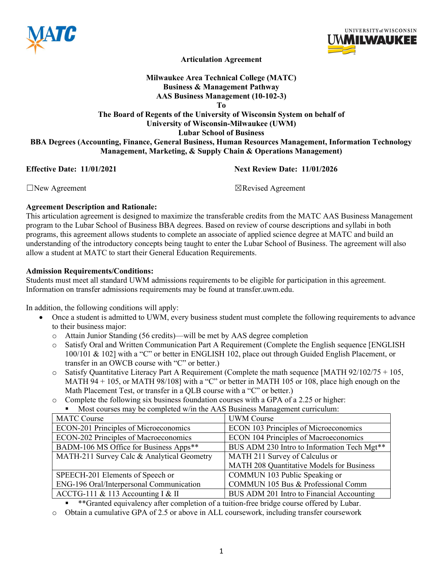



Articulation Agreement

# Milwaukee Area Technical College (MATC) Business & Management Pathway AAS Business Management (10-102-3)

To

The Board of Regents of the University of Wisconsin System on behalf of University of Wisconsin-Milwaukee (UWM) Lubar School of Business BBA Degrees (Accounting, Finance, General Business, Human Resources Management, Information Technology Management, Marketing, & Supply Chain & Operations Management)

**Effective Date:** 11/01/2021 11:00 Next Review Date: 11/01/2026

☐New Agreement ☒Revised Agreement

## Agreement Description and Rationale:

This articulation agreement is designed to maximize the transferable credits from the MATC AAS Business Management program to the Lubar School of Business BBA degrees. Based on review of course descriptions and syllabi in both programs, this agreement allows students to complete an associate of applied science degree at MATC and build an understanding of the introductory concepts being taught to enter the Lubar School of Business. The agreement will also allow a student at MATC to start their General Education Requirements.

## Admission Requirements/Conditions:

Students must meet all standard UWM admissions requirements to be eligible for participation in this agreement. Information on transfer admissions requirements may be found at transfer.uwm.edu.

In addition, the following conditions will apply:

- Once a student is admitted to UWM, every business student must complete the following requirements to advance to their business major:
	- o Attain Junior Standing (56 credits)—will be met by AAS degree completion
	- o Satisfy Oral and Written Communication Part A Requirement (Complete the English sequence [ENGLISH 100/101 & 102] with a "C" or better in ENGLISH 102, place out through Guided English Placement, or transfer in an OWCB course with "C" or better.)
	- o Satisfy Quantitative Literacy Part A Requirement (Complete the math sequence [MATH 92/102/75 + 105, MATH 94 + 105, or MATH 98/108] with a "C" or better in MATH 105 or 108, place high enough on the Math Placement Test, or transfer in a QLB course with a "C" or better.)
	- o Complete the following six business foundation courses with a GPA of a 2.25 or higher:
		- **Most courses may be completed w/in the AAS Business Management curriculum:**

| <b>MATC Course</b>                           | <b>UWM</b> Course                                       |
|----------------------------------------------|---------------------------------------------------------|
| <b>ECON-201 Principles of Microeconomics</b> | <b>ECON 103 Principles of Microeconomics</b>            |
| <b>ECON-202 Principles of Macroeconomics</b> | <b>ECON 104 Principles of Macroeconomics</b>            |
| BADM-106 MS Office for Business Apps**       | BUS ADM 230 Intro to Information Tech Mgt <sup>**</sup> |
| MATH-211 Survey Calc & Analytical Geometry   | MATH 211 Survey of Calculus or                          |
|                                              | MATH 208 Quantitative Models for Business               |
| SPEECH-201 Elements of Speech or             | COMMUN 103 Public Speaking or                           |
| ENG-196 Oral/Interpersonal Communication     | COMMUN 105 Bus & Professional Comm                      |
| ACCTG-111 & 113 Accounting I & II            | BUS ADM 201 Intro to Financial Accounting               |

\*\*Granted equivalency after completion of a tuition-free bridge course offered by Lubar.

o Obtain a cumulative GPA of 2.5 or above in ALL coursework, including transfer coursework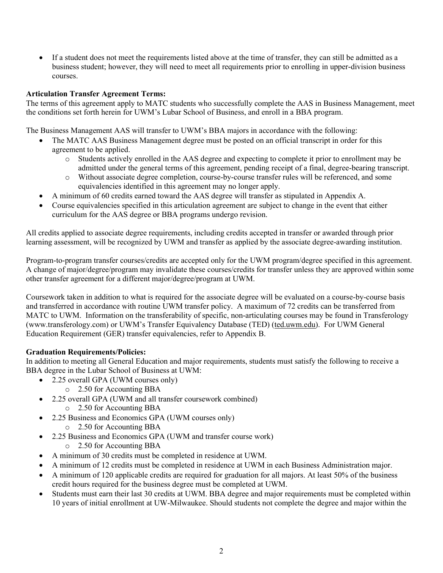If a student does not meet the requirements listed above at the time of transfer, they can still be admitted as a business student; however, they will need to meet all requirements prior to enrolling in upper-division business courses.

## Articulation Transfer Agreement Terms:

The terms of this agreement apply to MATC students who successfully complete the AAS in Business Management, meet the conditions set forth herein for UWM's Lubar School of Business, and enroll in a BBA program.

The Business Management AAS will transfer to UWM's BBA majors in accordance with the following:

- The MATC AAS Business Management degree must be posted on an official transcript in order for this agreement to be applied.
	- o Students actively enrolled in the AAS degree and expecting to complete it prior to enrollment may be admitted under the general terms of this agreement, pending receipt of a final, degree-bearing transcript.
	- o Without associate degree completion, course-by-course transfer rules will be referenced, and some equivalencies identified in this agreement may no longer apply.
- A minimum of 60 credits earned toward the AAS degree will transfer as stipulated in Appendix A.
- Course equivalencies specified in this articulation agreement are subject to change in the event that either curriculum for the AAS degree or BBA programs undergo revision.

All credits applied to associate degree requirements, including credits accepted in transfer or awarded through prior learning assessment, will be recognized by UWM and transfer as applied by the associate degree-awarding institution.

Program-to-program transfer courses/credits are accepted only for the UWM program/degree specified in this agreement. A change of major/degree/program may invalidate these courses/credits for transfer unless they are approved within some other transfer agreement for a different major/degree/program at UWM.

Coursework taken in addition to what is required for the associate degree will be evaluated on a course-by-course basis and transferred in accordance with routine UWM transfer policy. A maximum of 72 credits can be transferred from MATC to UWM. Information on the transferability of specific, non-articulating courses may be found in Transferology (www.transferology.com) or UWM's Transfer Equivalency Database (TED) (ted.uwm.edu). For UWM General Education Requirement (GER) transfer equivalencies, refer to Appendix B.

## Graduation Requirements/Policies:

In addition to meeting all General Education and major requirements, students must satisfy the following to receive a BBA degree in the Lubar School of Business at UWM:

- 2.25 overall GPA (UWM courses only)
	- o 2.50 for Accounting BBA
- 2.25 overall GPA (UWM and all transfer coursework combined)
	- o 2.50 for Accounting BBA
- 2.25 Business and Economics GPA (UWM courses only)
	- o 2.50 for Accounting BBA
- 2.25 Business and Economics GPA (UWM and transfer course work)
	- o 2.50 for Accounting BBA
- A minimum of 30 credits must be completed in residence at UWM.
- A minimum of 12 credits must be completed in residence at UWM in each Business Administration major.
- A minimum of 120 applicable credits are required for graduation for all majors. At least 50% of the business credit hours required for the business degree must be completed at UWM.
- Students must earn their last 30 credits at UWM. BBA degree and major requirements must be completed within 10 years of initial enrollment at UW-Milwaukee. Should students not complete the degree and major within the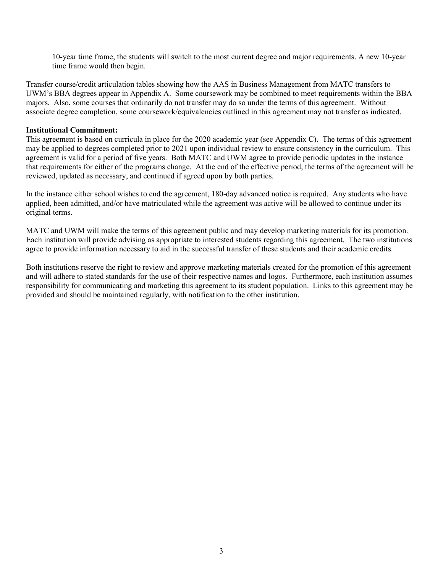10-year time frame, the students will switch to the most current degree and major requirements. A new 10-year time frame would then begin.

Transfer course/credit articulation tables showing how the AAS in Business Management from MATC transfers to UWM's BBA degrees appear in Appendix A. Some coursework may be combined to meet requirements within the BBA majors. Also, some courses that ordinarily do not transfer may do so under the terms of this agreement. Without associate degree completion, some coursework/equivalencies outlined in this agreement may not transfer as indicated.

#### Institutional Commitment:

This agreement is based on curricula in place for the 2020 academic year (see Appendix C). The terms of this agreement may be applied to degrees completed prior to 2021 upon individual review to ensure consistency in the curriculum. This agreement is valid for a period of five years. Both MATC and UWM agree to provide periodic updates in the instance that requirements for either of the programs change. At the end of the effective period, the terms of the agreement will be reviewed, updated as necessary, and continued if agreed upon by both parties.

In the instance either school wishes to end the agreement, 180-day advanced notice is required. Any students who have applied, been admitted, and/or have matriculated while the agreement was active will be allowed to continue under its original terms.

MATC and UWM will make the terms of this agreement public and may develop marketing materials for its promotion. Each institution will provide advising as appropriate to interested students regarding this agreement. The two institutions agree to provide information necessary to aid in the successful transfer of these students and their academic credits.

Both institutions reserve the right to review and approve marketing materials created for the promotion of this agreement and will adhere to stated standards for the use of their respective names and logos. Furthermore, each institution assumes responsibility for communicating and marketing this agreement to its student population. Links to this agreement may be provided and should be maintained regularly, with notification to the other institution.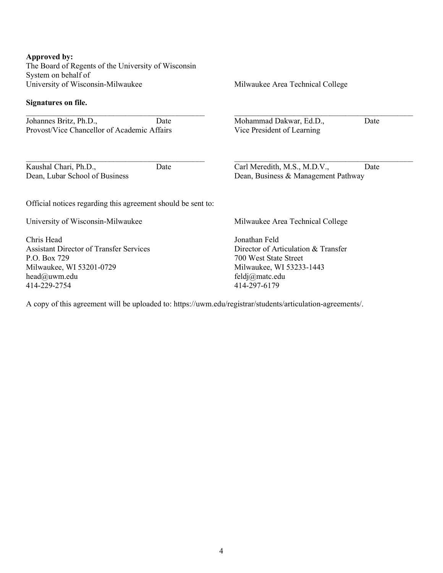#### Approved by:

The Board of Regents of the University of Wisconsin System on behalf of University of Wisconsin-Milwaukee

 $\mathcal{L}_\text{max}$  , and the set of the set of the set of the set of the set of the set of the set of the set of the set of the set of the set of the set of the set of the set of the set of the set of the set of the set of the

 $\mathcal{L}_\text{max}$  and the contract of the contract of the contract of the contract of the contract of the contract of the contract of the contract of the contract of the contract of the contract of the contract of the contrac

#### Signatures on file.

Johannes Britz, Ph.D., Date Provost/Vice Chancellor of Academic Affairs

Kaushal Chari, Ph.D., Date Dean, Lubar School of Business

Milwaukee Area Technical College

Mohammad Dakwar, Ed.D., Date Vice President of Learning

Carl Meredith, M.S., M.D.V., Date Dean, Business & Management Pathway

 $\mathcal{L}_\text{max}$  , and the set of the set of the set of the set of the set of the set of the set of the set of the set of the set of the set of the set of the set of the set of the set of the set of the set of the set of the

 $\mathcal{L}_\text{max}$  and the contract of the contract of the contract of the contract of the contract of the contract of the contract of the contract of the contract of the contract of the contract of the contract of the contrac

Official notices regarding this agreement should be sent to:

University of Wisconsin-Milwaukee

Chris Head Assistant Director of Transfer Services P.O. Box 729 Milwaukee, WI 53201-0729 head@uwm.edu 414-229-2754

Milwaukee Area Technical College

Jonathan Feld Director of Articulation & Transfer 700 West State Street Milwaukee, WI 53233-1443 feldj@matc.edu 414-297-6179

A copy of this agreement will be uploaded to: https://uwm.edu/registrar/students/articulation-agreements/.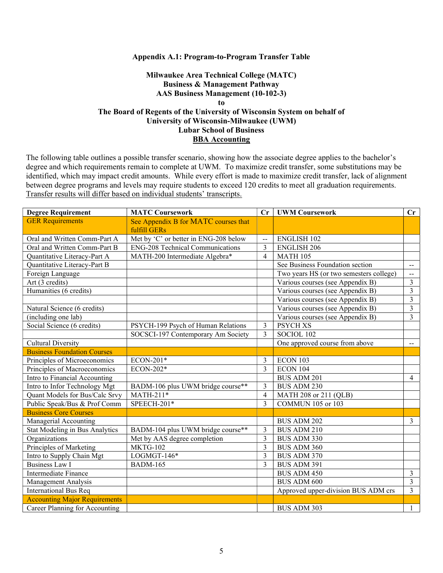#### Appendix A.1: Program-to-Program Transfer Table

## Milwaukee Area Technical College (MATC) Business & Management Pathway AAS Business Management (10-102-3) to The Board of Regents of the University of Wisconsin System on behalf of University of Wisconsin-Milwaukee (UWM) Lubar School of Business BBA Accounting

| <b>Degree Requirement</b>            | <b>MATC Coursework</b>                  | Cr             | <b>UWM Coursework</b>                   | $\mathbf{C}$ r              |
|--------------------------------------|-----------------------------------------|----------------|-----------------------------------------|-----------------------------|
| <b>GER Requirements</b>              | See Appendix B for MATC courses that    |                |                                         |                             |
|                                      | fulfill GERs                            |                |                                         |                             |
| Oral and Written Comm-Part A         | Met by 'C' or better in ENG-208 below   | $\overline{a}$ | <b>ENGLISH 102</b>                      |                             |
| Oral and Written Comm-Part B         | <b>ENG-208 Technical Communications</b> | 3              | <b>ENGLISH 206</b>                      |                             |
| Quantitative Literacy-Part A         | MATH-200 Intermediate Algebra*          | $\overline{4}$ | <b>MATH 105</b>                         |                             |
| Quantitative Literacy-Part B         |                                         |                | See Business Foundation section         | $\mathbf{u}$                |
| Foreign Language                     |                                         |                | Two years HS (or two semesters college) | $\mathcal{L}_{\mathcal{F}}$ |
| Art (3 credits)                      |                                         |                | Various courses (see Appendix B)        | 3                           |
| Humanities (6 credits)               |                                         |                | Various courses (see Appendix B)        | 3                           |
|                                      |                                         |                | Various courses (see Appendix B)        | $\overline{3}$              |
| Natural Science (6 credits)          |                                         |                | Various courses (see Appendix B)        | 3                           |
| (including one lab)                  |                                         |                | Various courses (see Appendix B)        | $\overline{3}$              |
| Social Science (6 credits)           | PSYCH-199 Psych of Human Relations      | 3              | <b>PSYCH XS</b>                         |                             |
|                                      | SOCSCI-197 Contemporary Am Society      | 3              | SOCIOL 102                              |                             |
| <b>Cultural Diversity</b>            |                                         |                | One approved course from above          | $\sim$                      |
| <b>Business Foundation Courses</b>   |                                         |                |                                         |                             |
| Principles of Microeconomics         | ECON-201*                               | 3              | ECON 103                                |                             |
| Principles of Macroeconomics         | ECON-202*                               | $\overline{3}$ | ECON 104                                |                             |
| Intro to Financial Accounting        |                                         |                | <b>BUS ADM 201</b>                      | $\overline{4}$              |
| Intro to Infor Technology Mgt        | BADM-106 plus UWM bridge course**       | 3              | <b>BUS ADM 230</b>                      |                             |
| Quant Models for Bus/Calc Srvy       | MATH-211*                               | $\overline{4}$ | MATH 208 or 211 (QLB)                   |                             |
| Public Speak/Bus & Prof Comm         | SPEECH-201*                             | $\overline{3}$ | <b>COMMUN 105 or 103</b>                |                             |
| <b>Business Core Courses</b>         |                                         |                |                                         |                             |
| Managerial Accounting                |                                         |                | BUS ADM 202                             | 3                           |
| Stat Modeling in Bus Analytics       | BADM-104 plus UWM bridge course**       | 3              | BUS ADM 210                             |                             |
| Organizations                        | Met by AAS degree completion            | 3              | BUS ADM 330                             |                             |
| Principles of Marketing              | <b>MKTG-102</b>                         | $\overline{3}$ | <b>BUS ADM 360</b>                      |                             |
| Intro to Supply Chain Mgt            | $LOGMGT-146*$                           | 3              | <b>BUS ADM 370</b>                      |                             |
| Business Law I                       | <b>BADM-165</b>                         | $\overline{3}$ | <b>BUS ADM 391</b>                      |                             |
| Intermediate Finance                 |                                         |                | <b>BUS ADM 450</b>                      | $\mathfrak{Z}$              |
| Management Analysis                  |                                         |                | <b>BUS ADM 600</b>                      | $\overline{3}$              |
| <b>International Bus Req</b>         |                                         |                | Approved upper-division BUS ADM crs     | 3                           |
| <b>Accounting Major Requirements</b> |                                         |                |                                         |                             |
| Career Planning for Accounting       |                                         |                | <b>BUS ADM 303</b>                      | 1                           |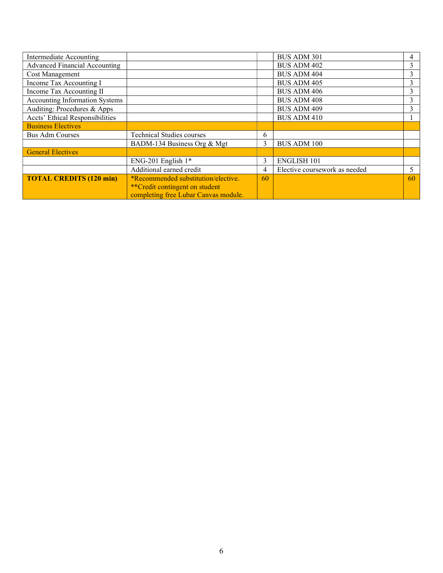| Intermediate Accounting               |                                            |    | <b>BUS ADM 301</b>            |    |
|---------------------------------------|--------------------------------------------|----|-------------------------------|----|
| <b>Advanced Financial Accounting</b>  |                                            |    | <b>BUS ADM 402</b>            |    |
| <b>Cost Management</b>                |                                            |    | <b>BUS ADM 404</b>            |    |
| Income Tax Accounting I               |                                            |    | <b>BUS ADM 405</b>            |    |
| Income Tax Accounting II              |                                            |    | <b>BUS ADM 406</b>            | Ć  |
| <b>Accounting Information Systems</b> |                                            |    | <b>BUS ADM 408</b>            | ∍  |
| Auditing: Procedures & Apps           |                                            |    | <b>BUS ADM 409</b>            |    |
| Accts' Ethical Responsibilities       |                                            |    | <b>BUS ADM 410</b>            |    |
| <b>Business Electives</b>             |                                            |    |                               |    |
| <b>Bus Adm Courses</b>                | <b>Technical Studies courses</b>           | 6  |                               |    |
|                                       | BADM-134 Business Org & Mgt                | 3  | <b>BUS ADM 100</b>            |    |
| <b>General Electives</b>              |                                            |    |                               |    |
|                                       | ENG-201 English $1*$                       | 3  | <b>ENGLISH 101</b>            |    |
|                                       | Additional earned credit                   | 4  | Elective coursework as needed | 5  |
| <b>TOTAL CREDITS (120 min)</b>        | <i>*Recommended substitution/elective.</i> | 60 |                               | 60 |
|                                       | <i>**</i> Credit contingent on student     |    |                               |    |
|                                       | completing free Lubar Canvas module.       |    |                               |    |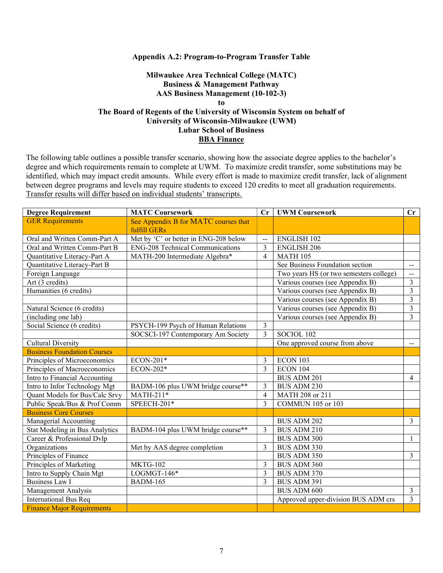#### Appendix A.2: Program-to-Program Transfer Table

## Milwaukee Area Technical College (MATC) Business & Management Pathway AAS Business Management (10-102-3) to The Board of Regents of the University of Wisconsin System on behalf of University of Wisconsin-Milwaukee (UWM) Lubar School of Business BBA Finance

| <b>Degree Requirement</b>          | <b>MATC Coursework</b>                  | Cr             | <b>UWM Coursework</b>                   | $\mathbf{C}\mathbf{r}$                        |
|------------------------------------|-----------------------------------------|----------------|-----------------------------------------|-----------------------------------------------|
| <b>GER Requirements</b>            | See Appendix B for MATC courses that    |                |                                         |                                               |
|                                    | fulfill GERs                            |                |                                         |                                               |
| Oral and Written Comm-Part A       | Met by 'C' or better in ENG-208 below   | $\frac{1}{2}$  | <b>ENGLISH 102</b>                      |                                               |
| Oral and Written Comm-Part B       | <b>ENG-208 Technical Communications</b> | 3              | <b>ENGLISH 206</b>                      |                                               |
| Quantitative Literacy-Part A       | MATH-200 Intermediate Algebra*          | $\overline{4}$ | <b>MATH 105</b>                         |                                               |
| Quantitative Literacy-Part B       |                                         |                | See Business Foundation section         | $\mathord{\hspace{1pt}\text{--}\hspace{1pt}}$ |
| Foreign Language                   |                                         |                | Two years HS (or two semesters college) | $\mathbf{L}$                                  |
| Art (3 credits)                    |                                         |                | Various courses (see Appendix B)        | 3                                             |
| Humanities (6 credits)             |                                         |                | Various courses (see Appendix B)        | 3                                             |
|                                    |                                         |                | Various courses (see Appendix B)        | 3                                             |
| Natural Science (6 credits)        |                                         |                | Various courses (see Appendix B)        | 3                                             |
| (including one lab)                |                                         |                | Various courses (see Appendix B)        | 3                                             |
| Social Science (6 credits)         | PSYCH-199 Psych of Human Relations      | 3              |                                         |                                               |
|                                    | SOCSCI-197 Contemporary Am Society      | 3              | SOCIOL 102                              |                                               |
| <b>Cultural Diversity</b>          |                                         |                | One approved course from above          | $\mathcal{L} = \mathcal{L}$                   |
| <b>Business Foundation Courses</b> |                                         |                |                                         |                                               |
| Principles of Microeconomics       | ECON-201*                               | 3              | ECON 103                                |                                               |
| Principles of Macroeconomics       | ECON-202*                               | $\overline{3}$ | ECON 104                                |                                               |
| Intro to Financial Accounting      |                                         |                | <b>BUS ADM 201</b>                      | $\overline{4}$                                |
| Intro to Infor Technology Mgt      | BADM-106 plus UWM bridge course**       | 3              | <b>BUS ADM 230</b>                      |                                               |
| Quant Models for Bus/Calc Srvy     | $MATH-211*$                             | $\overline{4}$ | MATH 208 or 211                         |                                               |
| Public Speak/Bus & Prof Comm       | SPEECH-201*                             | 3              | <b>COMMUN 105 or 103</b>                |                                               |
| <b>Business Core Courses</b>       |                                         |                |                                         |                                               |
| Managerial Accounting              |                                         |                | <b>BUS ADM 202</b>                      | $\overline{3}$                                |
| Stat Modeling in Bus Analytics     | BADM-104 plus UWM bridge course**       | 3              | <b>BUS ADM 210</b>                      |                                               |
| Career & Professional Dvlp         |                                         |                | <b>BUS ADM 300</b>                      | $\mathbf{1}$                                  |
| Organizations                      | Met by AAS degree completion            | 3              | <b>BUS ADM 330</b>                      |                                               |
| Principles of Finance              |                                         |                | <b>BUS ADM 350</b>                      | 3                                             |
| Principles of Marketing            | MKTG-102                                | 3              | <b>BUS ADM 360</b>                      |                                               |
| Intro to Supply Chain Mgt          | $LOGMGT-146*$                           | $\overline{3}$ | <b>BUS ADM 370</b>                      |                                               |
| <b>Business Law I</b>              | <b>BADM-165</b>                         | 3              | BUS ADM 391                             |                                               |
| Management Analysis                |                                         |                | <b>BUS ADM 600</b>                      | $\overline{3}$                                |
| <b>International Bus Req</b>       |                                         |                | Approved upper-division BUS ADM crs     | 3                                             |
| <b>Finance Major Requirements</b>  |                                         |                |                                         |                                               |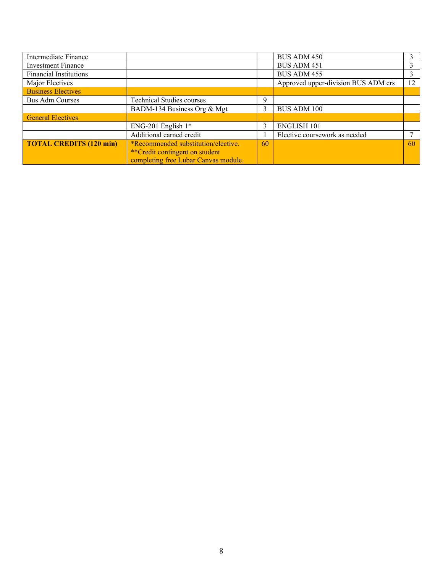| Intermediate Finance           |                                            |    | <b>BUS ADM 450</b>                  |    |
|--------------------------------|--------------------------------------------|----|-------------------------------------|----|
| <b>Investment Finance</b>      |                                            |    | <b>BUS ADM 451</b>                  |    |
| <b>Financial Institutions</b>  |                                            |    | BUS ADM 455                         |    |
| Major Electives                |                                            |    | Approved upper-division BUS ADM crs | 12 |
| <b>Business Electives</b>      |                                            |    |                                     |    |
| <b>Bus Adm Courses</b>         | <b>Technical Studies courses</b>           | 9  |                                     |    |
|                                | BADM-134 Business Org & Mgt                |    | <b>BUS ADM 100</b>                  |    |
| <b>General Electives</b>       |                                            |    |                                     |    |
|                                | ENG-201 English $1*$                       |    | <b>ENGLISH 101</b>                  |    |
|                                | Additional earned credit                   |    | Elective coursework as needed       |    |
| <b>TOTAL CREDITS (120 min)</b> | <i>*Recommended substitution/elective.</i> | 60 |                                     | 60 |
|                                | **Credit contingent on student             |    |                                     |    |
|                                | completing free Lubar Canvas module.       |    |                                     |    |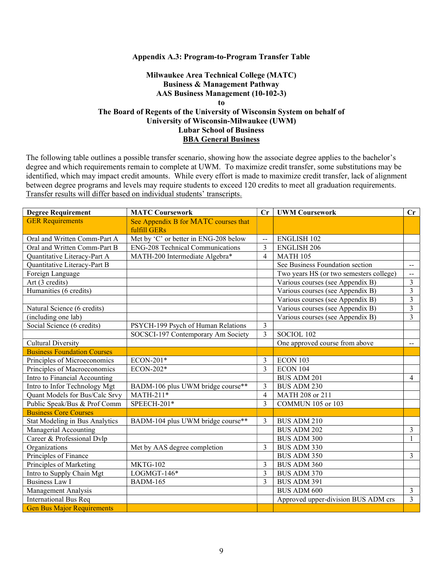#### Appendix A.3: Program-to-Program Transfer Table

## Milwaukee Area Technical College (MATC) Business & Management Pathway AAS Business Management (10-102-3) to The Board of Regents of the University of Wisconsin System on behalf of University of Wisconsin-Milwaukee (UWM) Lubar School of Business BBA General Business

| <b>Degree Requirement</b>             | <b>MATC Coursework</b>                  | $\mathbf{C}$ r | <b>UWM Coursework</b>                   | $\mathbf{C}$ r |
|---------------------------------------|-----------------------------------------|----------------|-----------------------------------------|----------------|
| <b>GER Requirements</b>               | See Appendix B for MATC courses that    |                |                                         |                |
|                                       | fulfill GERs                            |                |                                         |                |
| Oral and Written Comm-Part A          | Met by 'C' or better in ENG-208 below   | $\overline{a}$ | <b>ENGLISH 102</b>                      |                |
| Oral and Written Comm-Part B          | <b>ENG-208 Technical Communications</b> | 3              | <b>ENGLISH 206</b>                      |                |
| Quantitative Literacy-Part A          | MATH-200 Intermediate Algebra*          | $\overline{4}$ | <b>MATH 105</b>                         |                |
| Quantitative Literacy-Part B          |                                         |                | See Business Foundation section         | $\sim$ $\sim$  |
| Foreign Language                      |                                         |                | Two years HS (or two semesters college) | $\mathbf{u}$   |
| Art (3 credits)                       |                                         |                | Various courses (see Appendix B)        | 3              |
| Humanities (6 credits)                |                                         |                | Various courses (see Appendix B)        | 3              |
|                                       |                                         |                | Various courses (see Appendix B)        | 3              |
| Natural Science (6 credits)           |                                         |                | Various courses (see Appendix B)        | 3              |
| (including one lab)                   |                                         |                | Various courses (see Appendix B)        | 3              |
| Social Science (6 credits)            | PSYCH-199 Psych of Human Relations      | 3              |                                         |                |
|                                       | SOCSCI-197 Contemporary Am Society      | 3              | SOCIOL 102                              |                |
| <b>Cultural Diversity</b>             |                                         |                | One approved course from above          | $\sim$         |
| <b>Business Foundation Courses</b>    |                                         |                |                                         |                |
| Principles of Microeconomics          | ECON-201*                               | 3              | ECON 103                                |                |
| Principles of Macroeconomics          | ECON-202*                               | 3              | ECON 104                                |                |
| Intro to Financial Accounting         |                                         |                | <b>BUS ADM 201</b>                      | 4              |
| Intro to Infor Technology Mgt         | BADM-106 plus UWM bridge course**       | 3              | <b>BUS ADM 230</b>                      |                |
| Quant Models for Bus/Calc Srvy        | $MATH-211*$                             | $\overline{4}$ | MATH 208 or 211                         |                |
| Public Speak/Bus & Prof Comm          | SPEECH-201*                             | 3              | COMMUN 105 or 103                       |                |
| <b>Business Core Courses</b>          |                                         |                |                                         |                |
| <b>Stat Modeling in Bus Analytics</b> | BADM-104 plus UWM bridge course**       | 3              | BUS ADM 210                             |                |
| Managerial Accounting                 |                                         |                | <b>BUS ADM 202</b>                      | 3              |
| Career & Professional Dvlp            |                                         |                | <b>BUS ADM 300</b>                      | 1              |
| Organizations                         | Met by AAS degree completion            | 3              | BUS ADM 330                             |                |
| Principles of Finance                 |                                         |                | <b>BUS ADM 350</b>                      | $\overline{3}$ |
| Principles of Marketing               | <b>MKTG-102</b>                         | 3              | <b>BUS ADM 360</b>                      |                |
| Intro to Supply Chain Mgt             | $LOGMGT-146*$                           | 3              | <b>BUS ADM 370</b>                      |                |
| <b>Business Law I</b>                 | <b>BADM-165</b>                         | 3              | BUS ADM 391                             |                |
| Management Analysis                   |                                         |                | <b>BUS ADM 600</b>                      | $\overline{3}$ |
| <b>International Bus Req</b>          |                                         |                | Approved upper-division BUS ADM crs     | 3              |
| <b>Gen Bus Major Requirements</b>     |                                         |                |                                         |                |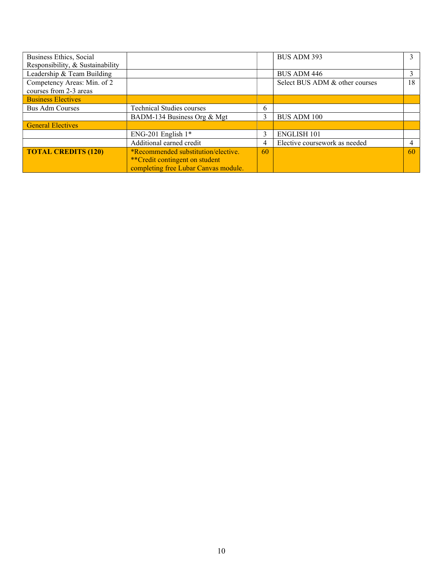| Business Ethics, Social          |                                        |    | BUS ADM 393                    |    |
|----------------------------------|----------------------------------------|----|--------------------------------|----|
| Responsibility, & Sustainability |                                        |    |                                |    |
| Leadership & Team Building       |                                        |    | <b>BUS ADM 446</b>             |    |
| Competency Areas: Min. of 2      |                                        |    | Select BUS ADM & other courses | 18 |
| courses from 2-3 areas           |                                        |    |                                |    |
| <b>Business Electives</b>        |                                        |    |                                |    |
| <b>Bus Adm Courses</b>           | <b>Technical Studies courses</b>       | 6  |                                |    |
|                                  | BADM-134 Business Org & Mgt            |    | <b>BUS ADM 100</b>             |    |
| <b>General Electives</b>         |                                        |    |                                |    |
|                                  | ENG-201 English $1*$                   | 3  | <b>ENGLISH 101</b>             |    |
|                                  | Additional earned credit               | 4  | Elective coursework as needed  |    |
| <b>TOTAL CREDITS (120)</b>       | *Recommended substitution/elective.    | 60 |                                | 60 |
|                                  | <i>**</i> Credit contingent on student |    |                                |    |
|                                  | completing free Lubar Canvas module.   |    |                                |    |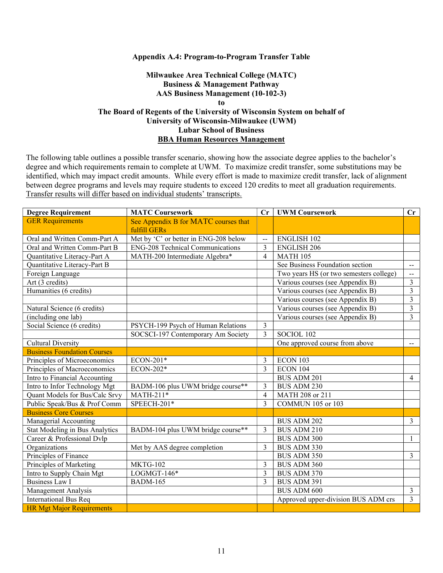#### Appendix A.4: Program-to-Program Transfer Table

## Milwaukee Area Technical College (MATC) Business & Management Pathway AAS Business Management (10-102-3) to The Board of Regents of the University of Wisconsin System on behalf of University of Wisconsin-Milwaukee (UWM) Lubar School of Business BBA Human Resources Management

| <b>Degree Requirement</b>          | <b>MATC Coursework</b>                  | Cr                       | <b>UWM Coursework</b>                   | Cr             |
|------------------------------------|-----------------------------------------|--------------------------|-----------------------------------------|----------------|
| <b>GER Requirements</b>            | See Appendix B for MATC courses that    |                          |                                         |                |
|                                    | fulfill GERs                            |                          |                                         |                |
| Oral and Written Comm-Part A       | Met by 'C' or better in ENG-208 below   | $\overline{a}$           | <b>ENGLISH 102</b>                      |                |
| Oral and Written Comm-Part B       | <b>ENG-208</b> Technical Communications | 3                        | <b>ENGLISH 206</b>                      |                |
| Quantitative Literacy-Part A       | MATH-200 Intermediate Algebra*          | $\overline{4}$           | <b>MATH 105</b>                         |                |
| Quantitative Literacy-Part B       |                                         |                          | See Business Foundation section         | $\mathbf{u}$   |
| Foreign Language                   |                                         |                          | Two years HS (or two semesters college) | $\sim$         |
| Art (3 credits)                    |                                         |                          | Various courses (see Appendix B)        | 3              |
| Humanities (6 credits)             |                                         |                          | Various courses (see Appendix B)        | $\overline{3}$ |
|                                    |                                         |                          | Various courses (see Appendix B)        | $\overline{3}$ |
| Natural Science (6 credits)        |                                         |                          | Various courses (see Appendix B)        | 3              |
| (including one lab)                |                                         |                          | Various courses (see Appendix B)        | 3              |
| Social Science (6 credits)         | PSYCH-199 Psych of Human Relations      | 3                        |                                         |                |
|                                    | SOCSCI-197 Contemporary Am Society      | 3                        | SOCIOL 102                              |                |
| <b>Cultural Diversity</b>          |                                         |                          | One approved course from above          | $--$           |
| <b>Business Foundation Courses</b> |                                         |                          |                                         |                |
| Principles of Microeconomics       | ECON-201*                               | 3                        | ECON 103                                |                |
| Principles of Macroeconomics       | ECON-202*                               | 3                        | ECON 104                                |                |
| Intro to Financial Accounting      |                                         |                          | <b>BUS ADM 201</b>                      | 4              |
| Intro to Infor Technology Mgt      | BADM-106 plus UWM bridge course**       | 3                        | <b>BUS ADM 230</b>                      |                |
| Quant Models for Bus/Calc Srvy     | $MATH-211*$                             | $\overline{4}$           | MATH 208 or 211                         |                |
| Public Speak/Bus & Prof Comm       | SPEECH-201*                             | 3                        | <b>COMMUN 105 or 103</b>                |                |
| <b>Business Core Courses</b>       |                                         |                          |                                         |                |
| Managerial Accounting              |                                         |                          | <b>BUS ADM 202</b>                      | 3              |
| Stat Modeling in Bus Analytics     | BADM-104 plus UWM bridge course**       | $\overline{\mathcal{E}}$ | BUS ADM 210                             |                |
| Career & Professional Dvlp         |                                         |                          | <b>BUS ADM 300</b>                      | 1              |
| Organizations                      | Met by AAS degree completion            | $\mathcal{E}$            | BUS ADM 330                             |                |
| Principles of Finance              |                                         |                          | <b>BUS ADM 350</b>                      | 3              |
| Principles of Marketing            | <b>MKTG-102</b>                         | 3                        | <b>BUS ADM 360</b>                      |                |
| Intro to Supply Chain Mgt          | $LOGMGT-146*$                           | 3                        | <b>BUS ADM 370</b>                      |                |
| <b>Business Law I</b>              | <b>BADM-165</b>                         | $\overline{3}$           | BUS ADM 391                             |                |
| Management Analysis                |                                         |                          | <b>BUS ADM 600</b>                      | $\overline{3}$ |
| <b>International Bus Req</b>       |                                         |                          | Approved upper-division BUS ADM crs     | 3              |
| <b>HR Mgt Major Requirements</b>   |                                         |                          |                                         |                |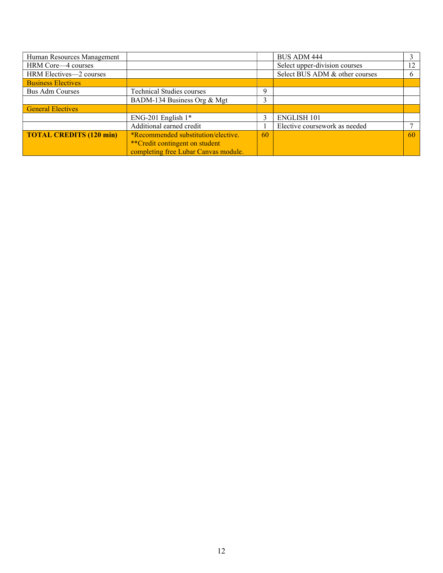| Human Resources Management     |                                      |    | <b>BUS ADM 444</b>             |              |
|--------------------------------|--------------------------------------|----|--------------------------------|--------------|
| HRM Core—4 courses             |                                      |    | Select upper-division courses  | 12           |
| HRM Electives-2 courses        |                                      |    | Select BUS ADM & other courses | <sub>b</sub> |
| <b>Business Electives</b>      |                                      |    |                                |              |
| <b>Bus Adm Courses</b>         | <b>Technical Studies courses</b>     | Q  |                                |              |
|                                | BADM-134 Business Org & Mgt          | 3  |                                |              |
| <b>General Electives</b>       |                                      |    |                                |              |
|                                | ENG-201 English $1*$                 |    | <b>ENGLISH 101</b>             |              |
|                                | Additional earned credit             |    | Elective coursework as needed  |              |
| <b>TOTAL CREDITS (120 min)</b> | *Recommended substitution/elective.  | 60 |                                | 60           |
|                                | **Credit contingent on student       |    |                                |              |
|                                | completing free Lubar Canvas module. |    |                                |              |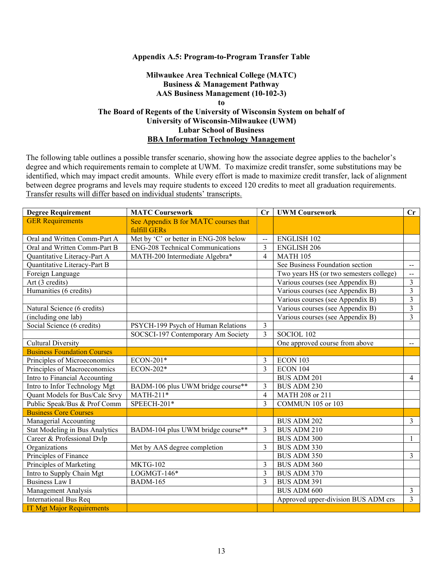#### Appendix A.5: Program-to-Program Transfer Table

## Milwaukee Area Technical College (MATC) Business & Management Pathway AAS Business Management (10-102-3) to The Board of Regents of the University of Wisconsin System on behalf of University of Wisconsin-Milwaukee (UWM) Lubar School of Business BBA Information Technology Management

| <b>Degree Requirement</b>          | <b>MATC Coursework</b>                  | Cr             | <b>UWM Coursework</b>                   | $\mathbf{C}\mathbf{r}$                        |
|------------------------------------|-----------------------------------------|----------------|-----------------------------------------|-----------------------------------------------|
| <b>GER Requirements</b>            | See Appendix B for MATC courses that    |                |                                         |                                               |
|                                    | fulfill GERs                            |                |                                         |                                               |
| Oral and Written Comm-Part A       | Met by 'C' or better in ENG-208 below   | $\frac{1}{2}$  | <b>ENGLISH 102</b>                      |                                               |
| Oral and Written Comm-Part B       | <b>ENG-208 Technical Communications</b> | 3              | <b>ENGLISH 206</b>                      |                                               |
| Quantitative Literacy-Part A       | MATH-200 Intermediate Algebra*          | $\overline{4}$ | <b>MATH 105</b>                         |                                               |
| Quantitative Literacy-Part B       |                                         |                | See Business Foundation section         | $\mathord{\hspace{1pt}\text{--}\hspace{1pt}}$ |
| Foreign Language                   |                                         |                | Two years HS (or two semesters college) | $\mathbf{L}$                                  |
| Art (3 credits)                    |                                         |                | Various courses (see Appendix B)        | 3                                             |
| Humanities (6 credits)             |                                         |                | Various courses (see Appendix B)        | 3                                             |
|                                    |                                         |                | Various courses (see Appendix B)        | 3                                             |
| Natural Science (6 credits)        |                                         |                | Various courses (see Appendix B)        | 3                                             |
| (including one lab)                |                                         |                | Various courses (see Appendix B)        | 3                                             |
| Social Science (6 credits)         | PSYCH-199 Psych of Human Relations      | 3              |                                         |                                               |
|                                    | SOCSCI-197 Contemporary Am Society      | 3              | SOCIOL 102                              |                                               |
| <b>Cultural Diversity</b>          |                                         |                | One approved course from above          | $\mathcal{L} = \mathcal{L}$                   |
| <b>Business Foundation Courses</b> |                                         |                |                                         |                                               |
| Principles of Microeconomics       | ECON-201*                               | 3              | ECON 103                                |                                               |
| Principles of Macroeconomics       | ECON-202*                               | $\overline{3}$ | <b>ECON 104</b>                         |                                               |
| Intro to Financial Accounting      |                                         |                | <b>BUS ADM 201</b>                      | $\overline{4}$                                |
| Intro to Infor Technology Mgt      | BADM-106 plus UWM bridge course**       | 3              | <b>BUS ADM 230</b>                      |                                               |
| Quant Models for Bus/Calc Srvy     | $MATH-211*$                             | $\overline{4}$ | MATH 208 or 211                         |                                               |
| Public Speak/Bus & Prof Comm       | SPEECH-201*                             | 3              | <b>COMMUN 105 or 103</b>                |                                               |
| <b>Business Core Courses</b>       |                                         |                |                                         |                                               |
| Managerial Accounting              |                                         |                | <b>BUS ADM 202</b>                      | $\overline{3}$                                |
| Stat Modeling in Bus Analytics     | BADM-104 plus UWM bridge course**       | 3              | <b>BUS ADM 210</b>                      |                                               |
| Career & Professional Dvlp         |                                         |                | <b>BUS ADM 300</b>                      | $\mathbf{1}$                                  |
| Organizations                      | Met by AAS degree completion            | 3              | <b>BUS ADM 330</b>                      |                                               |
| Principles of Finance              |                                         |                | <b>BUS ADM 350</b>                      | 3                                             |
| Principles of Marketing            | MKTG-102                                | 3              | <b>BUS ADM 360</b>                      |                                               |
| Intro to Supply Chain Mgt          | $LOGMGT-146*$                           | $\overline{3}$ | <b>BUS ADM 370</b>                      |                                               |
| <b>Business Law I</b>              | <b>BADM-165</b>                         | 3              | BUS ADM 391                             |                                               |
| Management Analysis                |                                         |                | <b>BUS ADM 600</b>                      | $\overline{3}$                                |
| <b>International Bus Req</b>       |                                         |                | Approved upper-division BUS ADM crs     | 3                                             |
| <b>IT Mgt Major Requirements</b>   |                                         |                |                                         |                                               |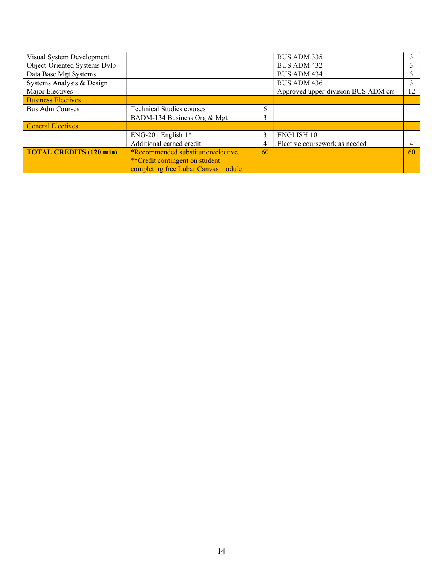| Visual System Development      |                                        |    | BUS ADM 335                         |    |
|--------------------------------|----------------------------------------|----|-------------------------------------|----|
| Object-Oriented Systems Dvlp   |                                        |    | <b>BUS ADM 432</b>                  |    |
| Data Base Mgt Systems          |                                        |    | <b>BUS ADM 434</b>                  |    |
| Systems Analysis & Design      |                                        |    | <b>BUS ADM 436</b>                  |    |
| Major Electives                |                                        |    | Approved upper-division BUS ADM crs | 12 |
| <b>Business Electives</b>      |                                        |    |                                     |    |
| <b>Bus Adm Courses</b>         | <b>Technical Studies courses</b>       | 6  |                                     |    |
|                                | BADM-134 Business Org & Mgt            | 3  |                                     |    |
| <b>General Electives</b>       |                                        |    |                                     |    |
|                                | ENG-201 English $1*$                   | 3  | <b>ENGLISH 101</b>                  |    |
|                                | Additional earned credit               | 4  | Elective coursework as needed       |    |
| <b>TOTAL CREDITS (120 min)</b> | *Recommended substitution/elective.    | 60 |                                     | 60 |
|                                | <i>**</i> Credit contingent on student |    |                                     |    |
|                                | completing free Lubar Canvas module.   |    |                                     |    |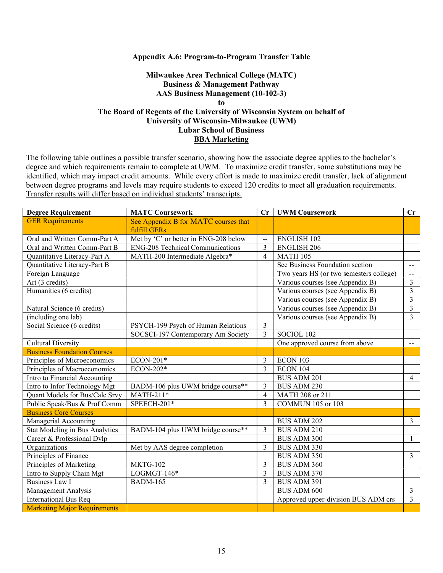#### Appendix A.6: Program-to-Program Transfer Table

## Milwaukee Area Technical College (MATC) Business & Management Pathway AAS Business Management (10-102-3) to The Board of Regents of the University of Wisconsin System on behalf of University of Wisconsin-Milwaukee (UWM) Lubar School of Business BBA Marketing

| <b>Degree Requirement</b>           | <b>MATC Coursework</b>                  | Cr             | <b>UWM Coursework</b>                   | $\mathbf{C}\mathbf{r}$                        |
|-------------------------------------|-----------------------------------------|----------------|-----------------------------------------|-----------------------------------------------|
| <b>GER Requirements</b>             | See Appendix B for MATC courses that    |                |                                         |                                               |
|                                     | fulfill GERs                            |                |                                         |                                               |
| Oral and Written Comm-Part A        | Met by 'C' or better in ENG-208 below   | $\overline{a}$ | <b>ENGLISH 102</b>                      |                                               |
| Oral and Written Comm-Part B        | <b>ENG-208</b> Technical Communications | 3              | <b>ENGLISH 206</b>                      |                                               |
| Quantitative Literacy-Part A        | MATH-200 Intermediate Algebra*          | $\overline{4}$ | <b>MATH 105</b>                         |                                               |
| Quantitative Literacy-Part B        |                                         |                | See Business Foundation section         | $\mathord{\hspace{1pt}\text{--}\hspace{1pt}}$ |
| Foreign Language                    |                                         |                | Two years HS (or two semesters college) | $\sim$                                        |
| Art (3 credits)                     |                                         |                | Various courses (see Appendix B)        | 3                                             |
| Humanities (6 credits)              |                                         |                | Various courses (see Appendix B)        | 3                                             |
|                                     |                                         |                | Various courses (see Appendix B)        | 3                                             |
| Natural Science (6 credits)         |                                         |                | Various courses (see Appendix B)        | 3                                             |
| (including one lab)                 |                                         |                | Various courses (see Appendix B)        | 3                                             |
| Social Science (6 credits)          | PSYCH-199 Psych of Human Relations      | $\overline{3}$ |                                         |                                               |
|                                     | SOCSCI-197 Contemporary Am Society      | $\overline{3}$ | SOCIOL 102                              |                                               |
| <b>Cultural Diversity</b>           |                                         |                | One approved course from above          | $\sim$ $-$                                    |
| <b>Business Foundation Courses</b>  |                                         |                |                                         |                                               |
| Principles of Microeconomics        | ECON-201*                               | 3              | ECON 103                                |                                               |
| Principles of Macroeconomics        | ECON-202*                               | 3              | <b>ECON 104</b>                         |                                               |
| Intro to Financial Accounting       |                                         |                | <b>BUS ADM 201</b>                      | $\overline{4}$                                |
| Intro to Infor Technology Mgt       | BADM-106 plus UWM bridge course**       | 3              | <b>BUS ADM 230</b>                      |                                               |
| Quant Models for Bus/Calc Srvy      | MATH-211*                               | $\overline{4}$ | MATH 208 or 211                         |                                               |
| Public Speak/Bus & Prof Comm        | SPEECH-201*                             | 3              | <b>COMMUN 105 or 103</b>                |                                               |
| <b>Business Core Courses</b>        |                                         |                |                                         |                                               |
| Managerial Accounting               |                                         |                | <b>BUS ADM 202</b>                      | 3                                             |
| Stat Modeling in Bus Analytics      | BADM-104 plus UWM bridge course**       | 3              | <b>BUS ADM 210</b>                      |                                               |
| Career & Professional Dvlp          |                                         |                | BUS ADM 300                             | 1                                             |
| Organizations                       | Met by AAS degree completion            | 3              | BUS ADM 330                             |                                               |
| Principles of Finance               |                                         |                | <b>BUS ADM 350</b>                      | 3                                             |
| Principles of Marketing             | <b>MKTG-102</b>                         | 3              | <b>BUS ADM 360</b>                      |                                               |
| Intro to Supply Chain Mgt           | $LOGMGT-146*$                           | 3              | <b>BUS ADM 370</b>                      |                                               |
| <b>Business Law I</b>               | <b>BADM-165</b>                         | 3              | BUS ADM 391                             |                                               |
| Management Analysis                 |                                         |                | <b>BUS ADM 600</b>                      | $\overline{3}$                                |
| <b>International Bus Req</b>        |                                         |                | Approved upper-division BUS ADM crs     | $\overline{3}$                                |
| <b>Marketing Major Requirements</b> |                                         |                |                                         |                                               |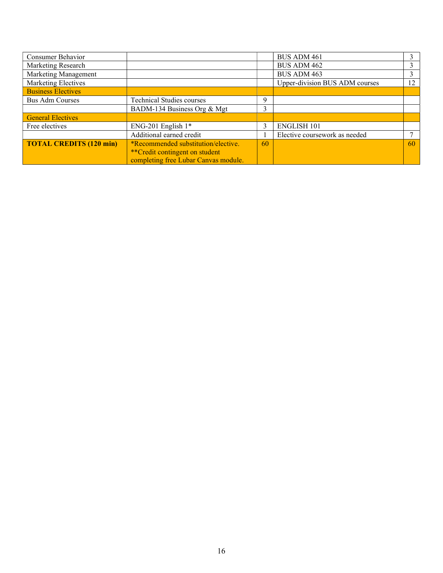| Consumer Behavior              |                                            |   | <b>BUS ADM 461</b>             |    |
|--------------------------------|--------------------------------------------|---|--------------------------------|----|
| Marketing Research             |                                            |   | <b>BUS ADM 462</b>             |    |
| Marketing Management           |                                            |   | <b>BUS ADM 463</b>             | 3  |
| <b>Marketing Electives</b>     |                                            |   | Upper-division BUS ADM courses | 12 |
| <b>Business Electives</b>      |                                            |   |                                |    |
| <b>Bus Adm Courses</b>         | <b>Technical Studies courses</b>           |   |                                |    |
|                                | BADM-134 Business Org & Mgt                |   |                                |    |
| <b>General Electives</b>       |                                            |   |                                |    |
| Free electives                 | ENG-201 English $1*$                       | 3 | <b>ENGLISH 101</b>             |    |
|                                | Additional earned credit                   |   | Elective coursework as needed  |    |
| <b>TOTAL CREDITS (120 min)</b> | <i>*Recommended substitution/elective.</i> |   |                                | 60 |
|                                | **Credit contingent on student             |   |                                |    |
|                                | completing free Lubar Canvas module.       |   |                                |    |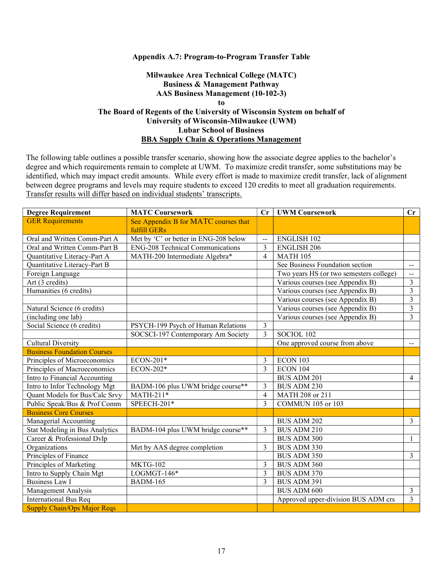#### Appendix A.7: Program-to-Program Transfer Table

## Milwaukee Area Technical College (MATC) Business & Management Pathway AAS Business Management (10-102-3) to The Board of Regents of the University of Wisconsin System on behalf of University of Wisconsin-Milwaukee (UWM) Lubar School of Business BBA Supply Chain & Operations Management

| <b>Degree Requirement</b>          | <b>MATC Coursework</b>                  |                | <b>UWM Coursework</b>                   | $\mathbf{C}\mathbf{r}$      |
|------------------------------------|-----------------------------------------|----------------|-----------------------------------------|-----------------------------|
| <b>GER Requirements</b>            | See Appendix B for MATC courses that    |                |                                         |                             |
|                                    | fulfill GERs                            |                |                                         |                             |
| Oral and Written Comm-Part A       | Met by 'C' or better in ENG-208 below   |                | <b>ENGLISH 102</b>                      |                             |
| Oral and Written Comm-Part B       | <b>ENG-208 Technical Communications</b> | 3              | <b>ENGLISH 206</b>                      |                             |
| Quantitative Literacy-Part A       | MATH-200 Intermediate Algebra*          |                | <b>MATH 105</b>                         |                             |
| Quantitative Literacy-Part B       |                                         |                | See Business Foundation section         |                             |
| Foreign Language                   |                                         |                | Two years HS (or two semesters college) |                             |
| Art (3 credits)                    |                                         |                | Various courses (see Appendix B)        |                             |
| Humanities (6 credits)             |                                         |                | Various courses (see Appendix B)        | $\overline{3}$              |
|                                    |                                         |                | Various courses (see Appendix B)        | 3                           |
| Natural Science (6 credits)        |                                         |                | Various courses (see Appendix B)        | 3                           |
| (including one lab)                |                                         |                | Various courses (see Appendix B)        | 3                           |
| Social Science (6 credits)         | PSYCH-199 Psych of Human Relations      | 3              |                                         |                             |
|                                    | SOCSCI-197 Contemporary Am Society      | $\overline{3}$ | SOCIOL 102                              |                             |
| <b>Cultural Diversity</b>          |                                         |                | One approved course from above          | $\mathcal{L}_{\mathcal{F}}$ |
| <b>Business Foundation Courses</b> |                                         |                |                                         |                             |
| Principles of Microeconomics       | ECON-201*                               | 3              | ECON 103                                |                             |
| Principles of Macroeconomics       | ECON-202*                               | 3              | ECON 104                                |                             |
| Intro to Financial Accounting      |                                         |                | BUS ADM 201                             | 4                           |
| Intro to Infor Technology Mgt      | BADM-106 plus UWM bridge course**       | 3              | <b>BUS ADM 230</b>                      |                             |
| Quant Models for Bus/Calc Srvy     | $MATH-211*$                             | $\overline{4}$ | MATH 208 or 211                         |                             |
| Public Speak/Bus & Prof Comm       | SPEECH-201*                             | 3              | <b>COMMUN 105 or 103</b>                |                             |
| <b>Business Core Courses</b>       |                                         |                |                                         |                             |
| Managerial Accounting              |                                         |                | <b>BUS ADM 202</b>                      | 3                           |
| Stat Modeling in Bus Analytics     | BADM-104 plus UWM bridge course**       | $\mathcal{E}$  | <b>BUS ADM 210</b>                      |                             |
| Career & Professional Dvlp         |                                         |                | <b>BUS ADM 300</b>                      | 1                           |
| Organizations                      | Met by AAS degree completion            |                | BUS ADM 330                             |                             |
| Principles of Finance              |                                         |                | <b>BUS ADM 350</b>                      | 3                           |
| Principles of Marketing            | <b>MKTG-102</b>                         |                | <b>BUS ADM 360</b>                      |                             |
| Intro to Supply Chain Mgt          | $LOGMGT-146*$                           |                | <b>BUS ADM 370</b>                      |                             |
| <b>Business Law I</b>              | <b>BADM-165</b>                         |                | BUS ADM 391                             |                             |
| Management Analysis                |                                         |                | <b>BUS ADM 600</b>                      | $\overline{3}$              |
| <b>International Bus Req</b>       |                                         |                | Approved upper-division BUS ADM crs     | 3                           |
| <b>Supply Chain/Ops Major Reqs</b> |                                         |                |                                         |                             |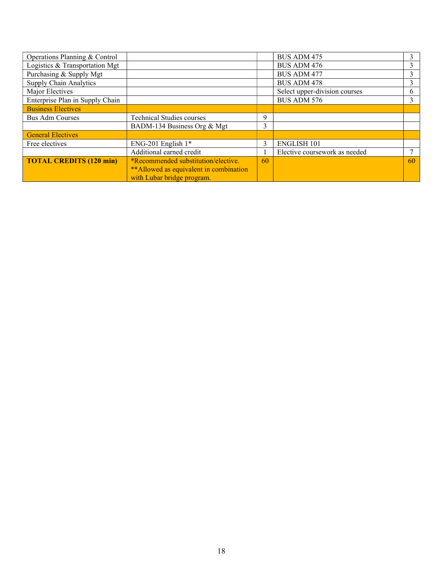| Operations Planning & Control   |                                         |  | <b>BUS ADM 475</b>            |    |
|---------------------------------|-----------------------------------------|--|-------------------------------|----|
| Logistics & Transportation Mgt  |                                         |  | <b>BUS ADM 476</b>            |    |
| Purchasing & Supply Mgt         |                                         |  | <b>BUS ADM 477</b>            |    |
| <b>Supply Chain Analytics</b>   |                                         |  | <b>BUS ADM 478</b>            |    |
| Major Electives                 |                                         |  | Select upper-division courses | 6. |
| Enterprise Plan in Supply Chain |                                         |  | <b>BUS ADM 576</b>            |    |
| <b>Business Electives</b>       |                                         |  |                               |    |
| <b>Bus Adm Courses</b>          | <b>Technical Studies courses</b>        |  |                               |    |
|                                 | BADM-134 Business Org & Mgt             |  |                               |    |
| <b>General Electives</b>        |                                         |  |                               |    |
| Free electives                  | ENG-201 English $1*$                    |  | <b>ENGLISH 101</b>            |    |
|                                 | Additional earned credit                |  | Elective coursework as needed |    |
| <b>TOTAL CREDITS (120 min)</b>  | *Recommended substitution/elective.     |  |                               | 60 |
|                                 | ** Allowed as equivalent in combination |  |                               |    |
|                                 | with Lubar bridge program.              |  |                               |    |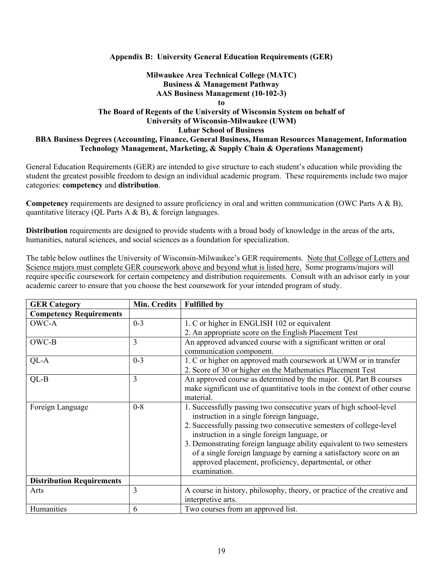#### Appendix B: University General Education Requirements (GER)

## Milwaukee Area Technical College (MATC) Business & Management Pathway AAS Business Management (10-102-3)

to

## The Board of Regents of the University of Wisconsin System on behalf of University of Wisconsin-Milwaukee (UWM) Lubar School of Business BBA Business Degrees (Accounting, Finance, General Business, Human Resources Management, Information Technology Management, Marketing, & Supply Chain & Operations Management)

General Education Requirements (GER) are intended to give structure to each student's education while providing the student the greatest possible freedom to design an individual academic program. These requirements include two major categories: competency and distribution.

Competency requirements are designed to assure proficiency in oral and written communication (OWC Parts A & B), quantitative literacy (QL Parts A & B), & foreign languages.

Distribution requirements are designed to provide students with a broad body of knowledge in the areas of the arts, humanities, natural sciences, and social sciences as a foundation for specialization.

The table below outlines the University of Wisconsin-Milwaukee's GER requirements. Note that College of Letters and Science majors must complete GER coursework above and beyond what is listed here. Some programs/majors will require specific coursework for certain competency and distribution requirements. Consult with an advisor early in your academic career to ensure that you choose the best coursework for your intended program of study.

| <b>GER Category</b>              | Min. Credits | <b>Fulfilled by</b>                                                       |
|----------------------------------|--------------|---------------------------------------------------------------------------|
| <b>Competency Requirements</b>   |              |                                                                           |
| OWC-A                            | $0 - 3$      | 1. C or higher in ENGLISH 102 or equivalent                               |
|                                  |              | 2. An appropriate score on the English Placement Test                     |
| OWC-B                            | 3            | An approved advanced course with a significant written or oral            |
|                                  |              | communication component.                                                  |
| QL-A                             | $0 - 3$      | 1. C or higher on approved math coursework at UWM or in transfer          |
|                                  |              | 2. Score of 30 or higher on the Mathematics Placement Test                |
| $QL-B$                           | 3            | An approved course as determined by the major. QL Part B courses          |
|                                  |              | make significant use of quantitative tools in the context of other course |
|                                  |              | material.                                                                 |
| Foreign Language                 | $0 - 8$      | 1. Successfully passing two consecutive years of high school-level        |
|                                  |              | instruction in a single foreign language,                                 |
|                                  |              | 2. Successfully passing two consecutive semesters of college-level        |
|                                  |              | instruction in a single foreign language, or                              |
|                                  |              | 3. Demonstrating foreign language ability equivalent to two semesters     |
|                                  |              | of a single foreign language by earning a satisfactory score on an        |
|                                  |              | approved placement, proficiency, departmental, or other                   |
|                                  |              | examination.                                                              |
| <b>Distribution Requirements</b> |              |                                                                           |
| Arts                             | 3            | A course in history, philosophy, theory, or practice of the creative and  |
|                                  |              | interpretive arts.                                                        |
| Humanities                       | 6            | Two courses from an approved list.                                        |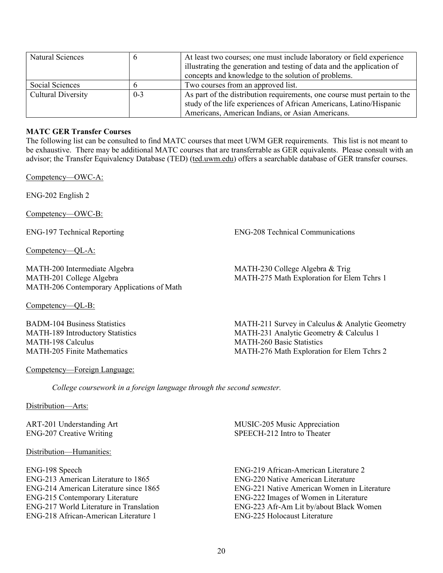| Natural Sciences          |         | At least two courses; one must include laboratory or field experience    |
|---------------------------|---------|--------------------------------------------------------------------------|
|                           |         | illustrating the generation and testing of data and the application of   |
|                           |         | concepts and knowledge to the solution of problems.                      |
| Social Sciences           |         | Two courses from an approved list.                                       |
| <b>Cultural Diversity</b> | $0 - 3$ | As part of the distribution requirements, one course must pertain to the |
|                           |         | study of the life experiences of African Americans, Latino/Hispanic      |
|                           |         | Americans, American Indians, or Asian Americans.                         |

## MATC GER Transfer Courses

The following list can be consulted to find MATC courses that meet UWM GER requirements. This list is not meant to be exhaustive. There may be additional MATC courses that are transferrable as GER equivalents. Please consult with an advisor; the Transfer Equivalency Database (TED) (ted.uwm.edu) offers a searchable database of GER transfer courses.

Competency—OWC-A:

ENG-202 English 2

Competency—OWC-B:

Competency—QL-A:

MATH-200 Intermediate Algebra MATH-201 College Algebra MATH-206 Contemporary Applications of Math

Competency—QL-B:

BADM-104 Business Statistics MATH-189 Introductory Statistics MATH-198 Calculus MATH-205 Finite Mathematics

Competency—Foreign Language:

ENG-197 Technical Reporting ENG-208 Technical Communications

MATH-230 College Algebra & Trig MATH-275 Math Exploration for Elem Tchrs 1

MATH-211 Survey in Calculus & Analytic Geometry MATH-231 Analytic Geometry & Calculus 1 MATH-260 Basic Statistics MATH-276 Math Exploration for Elem Tchrs 2

College coursework in a foreign language through the second semester.

Distribution-Arts:

ART-201 Understanding Art ENG-207 Creative Writing

Distribution—Humanities:

ENG-198 Speech ENG-213 American Literature to 1865 ENG-214 American Literature since 1865 ENG-215 Contemporary Literature ENG-217 World Literature in Translation ENG-218 African-American Literature 1

MUSIC-205 Music Appreciation SPEECH-212 Intro to Theater

ENG-219 African-American Literature 2 ENG-220 Native American Literature ENG-221 Native American Women in Literature ENG-222 Images of Women in Literature ENG-223 Afr-Am Lit by/about Black Women ENG-225 Holocaust Literature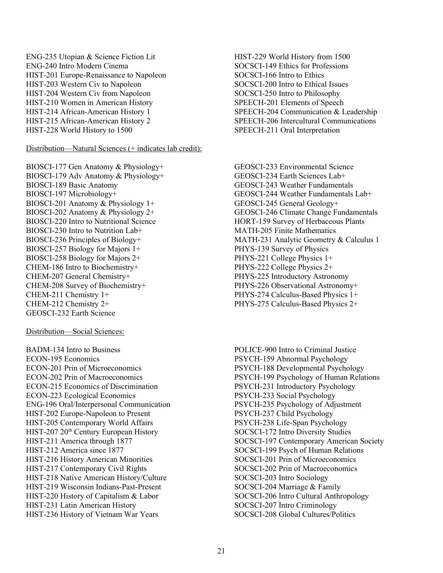ENG-235 Utopian & Science Fiction Lit ENG-240 Intro Modern Cinema HIST-201 Europe-Renaissance to Napoleon HIST-203 Western Civ to Napoleon HIST-204 Western Civ from Napoleon HIST-210 Women in American History HIST-214 African-American History 1 HIST-215 African-American History 2 HIST-228 World History to 1500

Distribution—Natural Sciences (+ indicates lab credit):

BIOSCI-177 Gen Anatomy & Physiology+ BIOSCI-179 Adv Anatomy & Physiology+ BIOSCI-189 Basic Anatomy BIOSCI-197 Microbiology+ BIOSCI-201 Anatomy & Physiology 1+ BIOSCI-202 Anatomy & Physiology 2+ BIOSCI-220 Intro to Nutritional Science BIOSCI-230 Intro to Nutrition Lab+ BIOSCI-236 Principles of Biology+ BIOSCI-257 Biology for Majors 1+ BIOSCI-258 Biology for Majors 2+ CHEM-186 Intro to Biochemistry+ CHEM-207 General Chemistry+ CHEM-208 Survey of Biochemistry+ CHEM-211 Chemistry 1+ CHEM-212 Chemistry 2+ GEOSCI-232 Earth Science

Distribution—Social Sciences:

BADM-134 Intro to Business ECON-195 Economics ECON-201 Prin of Microeconomics ECON-202 Prin of Macroeconomics ECON-215 Economics of Discrimination ECON-223 Ecological Economics ENG-196 Oral/Interpersonal Communication HIST-202 Europe-Napoleon to Present HIST-205 Contemporary World Affairs HIST-207 20<sup>th</sup> Century European History HIST-211 America through 1877 HIST-212 America since 1877 HIST-216 History American Minorities HIST-217 Contemporary Civil Rights HIST-218 Native American History/Culture HIST-219 Wisconsin Indians-Past-Present HIST-220 History of Capitalism & Labor HIST-231 Latin American History HIST-236 History of Vietnam War Years

- HIST-229 World History from 1500 SOCSCI-149 Ethics for Professions SOCSCI-166 Intro to Ethics SOCSCI-200 Intro to Ethical Issues SOCSCI-250 Intro to Philosophy SPEECH-201 Elements of Speech SPEECH-204 Communication & Leadership SPEECH-206 Intercultural Communications SPEECH-211 Oral Interpretation
- GEOSCI-233 Environmental Science GEOSCI-234 Earth Sciences Lab+ GEOSCI-243 Weather Fundamentals GEOSCI-244 Weather Fundamentals Lab+ GEOSCI-245 General Geology+ GEOSCI-246 Climate Change Fundamentals HORT-159 Survey of Herbaceous Plants MATH-205 Finite Mathematics MATH-231 Analytic Geometry & Calculus 1 PHYS-139 Survey of Physics PHYS-221 College Physics 1+ PHYS-222 College Physics 2+ PHYS-225 Introductory Astronomy PHYS-226 Observational Astronomy+ PHYS-274 Calculus-Based Physics 1+ PHYS-275 Calculus-Based Physics 2+
- POLICE-900 Intro to Criminal Justice PSYCH-159 Abnormal Psychology PSYCH-188 Developmental Psychology PSYCH-199 Psychology of Human Relations PSYCH-231 Introductory Psychology PSYCH-233 Social Psychology PSYCH-235 Psychology of Adjustment PSYCH-237 Child Psychology PSYCH-238 Life-Span Psychology SOCSCI-172 Intro Diversity Studies SOCSCI-197 Contemporary American Society SOCSCI-199 Psych of Human Relations SOCSCI-201 Prin of Microeconomics SOCSCI-202 Prin of Macroeconomics SOCSCI-203 Intro Sociology SOCSCI-204 Marriage & Family SOCSCI-206 Intro Cultural Anthropology SOCSCI-207 Intro Criminology SOCSCI-208 Global Cultures/Politics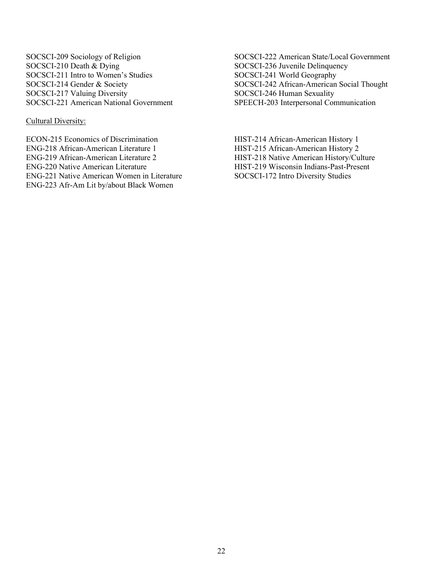SOCSCI-209 Sociology of Religion SOCSCI-210 Death & Dying SOCSCI-211 Intro to Women's Studies SOCSCI-214 Gender & Society SOCSCI-217 Valuing Diversity SOCSCI-221 American National Government

Cultural Diversity:

ECON-215 Economics of Discrimination ENG-218 African-American Literature 1 ENG-219 African-American Literature 2 ENG-220 Native American Literature ENG-221 Native American Women in Literature ENG-223 Afr-Am Lit by/about Black Women

SOCSCI-222 American State/Local Government SOCSCI-236 Juvenile Delinquency SOCSCI-241 World Geography SOCSCI-242 African-American Social Thought SOCSCI-246 Human Sexuality SPEECH-203 Interpersonal Communication

HIST-214 African-American History 1 HIST-215 African-American History 2 HIST-218 Native American History/Culture HIST-219 Wisconsin Indians-Past-Present SOCSCI-172 Intro Diversity Studies